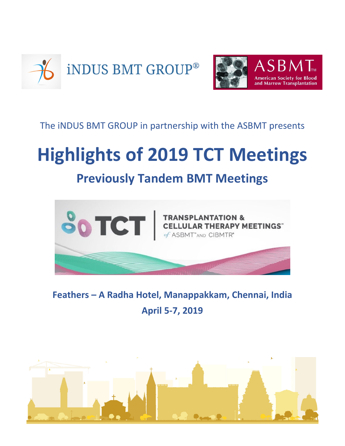



### The iNDUS BMT GROUP in partnership with the ASBMT presents

# **Highlights of 2019 TCT Meetings**

# **Previously Tandem BMT Meetings**



### **Feathers – A Radha Hotel, Manappakkam, Chennai, India April 5-7, 2019**

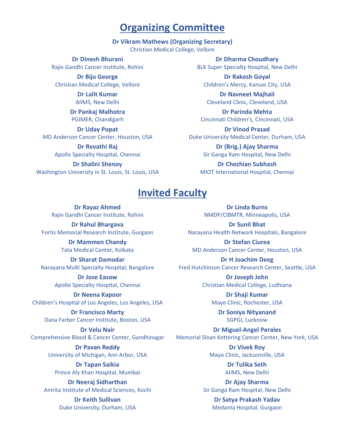### **Organizing Committee**

#### **Dr Vikram Mathews (Organizing Secretary)**

Christian Medical College, Vellore

**Dr Dinesh Bhurani** Rajiv Gandhi Cancer Institute, Rohini

**Dr Biju George**  Christian Medical College, Vellore

> **Dr Lalit Kumar**  AIIMS, New Delhi

**Dr Pankaj Malhotra**  PGIMER, Chandigarh

**Dr Uday Popat**  MD Anderson Cancer Center, Houston, USA

> **Dr Revathi Raj**  Apollo Specialty Hospital, Chennai

**Dr Shalini Shenoy**  Washington University in St. Louis, St. Louis, USA

**Dr Dharma Choudhary**  BLK Super Specialty Hospital, New Delhi

**Dr Rakesh Goyal**  Children's Mercy, Kansas City, USA

**Dr Navneet Majhail**  Cleveland Clinic, Cleveland, USA

**Dr Parinda Mehta**  Cincinnati Children's, Cincinnati, USA

**Dr Vinod Prasad**  Duke University Medical Center, Durham, USA

> **Dr (Brig.) Ajay Sharma**  Sir Ganga Ram Hospital, New Delhi

**Dr Chezhian Subhash**  MIOT International Hospital, Chennai

### **Invited Faculty**

**Dr Rayaz Ahmed**  Rajiv Gandhi Cancer Institute, Rohini

**Dr Rahul Bhargava**  Fortis Memorial Research Institute, Gurgaon

> **Dr Mammen Chandy**  Tata Medical Center, Kolkata

**Dr Sharat Damodar**  Narayana Multi Specialty Hospital, Bangalore

> **Dr Jose Easow**  Apollo Specialty Hospital, Chennai

**Dr Neena Kapoor**  Children's Hospital of Los Angeles, Los Angeles, USA

**Dr Francisco Marty**  Dana Farber Cancer Institute, Boston, USA

**Dr Velu Nair**  Comprehensive Blood & Cancer Center, Gandhinagar

> **Dr Pavan Reddy**  University of Michigan, Ann Arbor, USA

**Dr Tapan Saikia**  Prince Aly Khan Hospital, Mumbai

**Dr Neeraj Sidharthan**  Amrita Institute of Medical Sciences, Kochi

> **Dr Keith Sullivan**  Duke University, Durham, USA

**Dr Linda Burns**  NMDP/CIBMTR, Minneapolis, USA

**Dr Sunil Bhat**  Narayana Health Network Hospitals, Bangalore

**Dr Stefan Ciurea**  MD Anderson Cancer Center, Houston, USA

**Dr H Joachim Deeg**  Fred Hutchinson Cancer Research Center, Seattle, USA

> **Dr Joseph John**  Christian Medical College, Ludhiana

> > **Dr Shaji Kumar**  Mayo Clinic, Rochester, USA

**Dr Soniya Nityanand**  SGPGI, Lucknow

**Dr Miguel-Angel Perales**  Memorial Sloan Kettering Cancer Center, New York, USA

> **Dr Vivek Roy**  Mayo Clinic, Jacksonville, USA

> > **Dr Tulika Seth**  AIIMS, New Delhi

**Dr Ajay Sharma**  Sir Ganga Ram Hospital, New Delhi

**Dr Satya Prakash Yadav**  Medanta Hospital, Gurgaon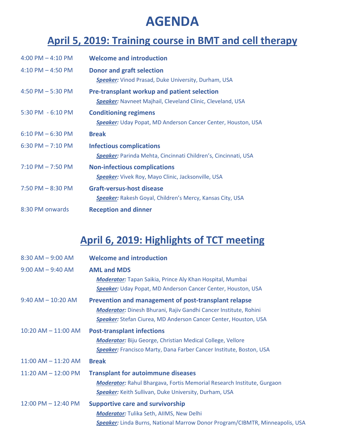# **AGENDA**

### **April 5, 2019: Training course in BMT and cell therapy**

| $4:00$ PM $- 4:10$ PM | <b>Welcome and introduction</b>                                                                                         |  |
|-----------------------|-------------------------------------------------------------------------------------------------------------------------|--|
| 4:10 PM $-$ 4:50 PM   | <b>Donor and graft selection</b><br><b>Speaker:</b> Vinod Prasad, Duke University, Durham, USA                          |  |
| 4:50 PM $-$ 5:30 PM   | <b>Pre-transplant workup and patient selection</b><br><b>Speaker:</b> Navneet Majhail, Cleveland Clinic, Cleveland, USA |  |
| 5:30 PM - 6:10 PM     | <b>Conditioning regimens</b><br><b>Speaker:</b> Uday Popat, MD Anderson Cancer Center, Houston, USA                     |  |
| $6:10$ PM $-6:30$ PM  | <b>Break</b>                                                                                                            |  |
| $6:30$ PM $- 7:10$ PM | <b>Infectious complications</b><br><b>Speaker:</b> Parinda Mehta, Cincinnati Children's, Cincinnati, USA                |  |
| $7:10$ PM $- 7:50$ PM | <b>Non-infectious complications</b><br><b>Speaker:</b> Vivek Roy, Mayo Clinic, Jacksonville, USA                        |  |
| $7:50$ PM $- 8:30$ PM | <b>Graft-versus-host disease</b><br><b>Speaker:</b> Rakesh Goyal, Children's Mercy, Kansas City, USA                    |  |
| 8:30 PM onwards       | <b>Reception and dinner</b>                                                                                             |  |

# **April 6, 2019: Highlights of TCT meeting**

| $8:30$ AM $-$ 9:00 AM   | <b>Welcome and introduction</b>                                                                                                                                                                           |
|-------------------------|-----------------------------------------------------------------------------------------------------------------------------------------------------------------------------------------------------------|
| $9:00$ AM $-$ 9:40 AM   | <b>AML and MDS</b><br><b>Moderator:</b> Tapan Saikia, Prince Aly Khan Hospital, Mumbai<br><b>Speaker:</b> Uday Popat, MD Anderson Cancer Center, Houston, USA                                             |
| $9:40$ AM $- 10:20$ AM  | Prevention and management of post-transplant relapse<br><b>Moderator:</b> Dinesh Bhurani, Rajiv Gandhi Cancer Institute, Rohini<br><b>Speaker:</b> Stefan Ciurea, MD Anderson Cancer Center, Houston, USA |
| $10:20$ AM $- 11:00$ AM | <b>Post-transplant infections</b><br><b>Moderator:</b> Biju George, Christian Medical College, Vellore<br>Speaker: Francisco Marty, Dana Farber Cancer Institute, Boston, USA                             |
| $11:00$ AM $- 11:20$ AM | <b>Break</b>                                                                                                                                                                                              |
| $11:20$ AM $- 12:00$ PM | <b>Transplant for autoimmune diseases</b><br><b>Moderator:</b> Rahul Bhargava, Fortis Memorial Research Institute, Gurgaon<br><b>Speaker:</b> Keith Sullivan, Duke University, Durham, USA                |
| 12:00 PM - 12:40 PM     | <b>Supportive care and survivorship</b><br><b>Moderator:</b> Tulika Seth, AllMS, New Delhi<br>Speaker: Linda Burns, National Marrow Donor Program/CIBMTR, Minneapolis, USA                                |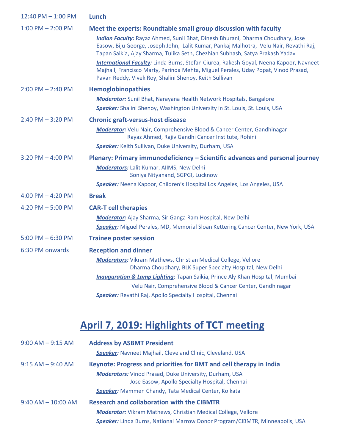| 12:40 PM - 1:00 PM    | Lunch                                                                                                                                                                                                                                                      |
|-----------------------|------------------------------------------------------------------------------------------------------------------------------------------------------------------------------------------------------------------------------------------------------------|
| $1:00$ PM $- 2:00$ PM | Meet the experts: Roundtable small group discussion with faculty                                                                                                                                                                                           |
|                       | Indian Faculty: Rayaz Ahmed, Sunil Bhat, Dinesh Bhurani, Dharma Choudhary, Jose<br>Easow, Biju George, Joseph John, Lalit Kumar, Pankaj Malhotra, Velu Nair, Revathi Raj,<br>Tapan Saikia, Ajay Sharma, Tulika Seth, Chezhian Subhash, Satya Prakash Yadav |
|                       | International Faculty: Linda Burns, Stefan Ciurea, Rakesh Goyal, Neena Kapoor, Navneet<br>Majhail, Francisco Marty, Parinda Mehta, Miguel Perales, Uday Popat, Vinod Prasad,<br>Pavan Reddy, Vivek Roy, Shalini Shenoy, Keith Sullivan                     |
| $2:00$ PM $- 2:40$ PM | Hemoglobinopathies                                                                                                                                                                                                                                         |
|                       | <b>Moderator:</b> Sunil Bhat, Narayana Health Network Hospitals, Bangalore                                                                                                                                                                                 |
|                       | <b>Speaker:</b> Shalini Shenoy, Washington University in St. Louis, St. Louis, USA                                                                                                                                                                         |
| $2:40$ PM $-3:20$ PM  | <b>Chronic graft-versus-host disease</b>                                                                                                                                                                                                                   |
|                       | Moderator: Velu Nair, Comprehensive Blood & Cancer Center, Gandhinagar<br>Rayaz Ahmed, Rajiv Gandhi Cancer Institute, Rohini                                                                                                                               |
|                       | Speaker: Keith Sullivan, Duke University, Durham, USA                                                                                                                                                                                                      |
| $3:20$ PM $-$ 4:00 PM | Plenary: Primary immunodeficiency – Scientific advances and personal journey                                                                                                                                                                               |
|                       | <b>Moderators: Lalit Kumar, AIIMS, New Delhi</b><br>Soniya Nityanand, SGPGI, Lucknow                                                                                                                                                                       |
|                       | Speaker: Neena Kapoor, Children's Hospital Los Angeles, Los Angeles, USA                                                                                                                                                                                   |
| $4:00$ PM $- 4:20$ PM | <b>Break</b>                                                                                                                                                                                                                                               |
| 4:20 PM $-$ 5:00 PM   | <b>CAR-T cell therapies</b>                                                                                                                                                                                                                                |
|                       | <b>Moderator:</b> Ajay Sharma, Sir Ganga Ram Hospital, New Delhi                                                                                                                                                                                           |
|                       | Speaker: Miguel Perales, MD, Memorial Sloan Kettering Cancer Center, New York, USA                                                                                                                                                                         |
| $5:00$ PM $-6:30$ PM  | <b>Trainee poster session</b>                                                                                                                                                                                                                              |
| 6:30 PM onwards       | <b>Reception and dinner</b>                                                                                                                                                                                                                                |
|                       | <b>Moderators:</b> Vikram Mathews, Christian Medical College, Vellore<br>Dharma Choudhary, BLK Super Specialty Hospital, New Delhi                                                                                                                         |
|                       | <b>Inauguration &amp; Lamp Lighting:</b> Tapan Saikia, Prince Aly Khan Hospital, Mumbai                                                                                                                                                                    |
|                       | Velu Nair, Comprehensive Blood & Cancer Center, Gandhinagar                                                                                                                                                                                                |
|                       | <b>Speaker:</b> Revathi Raj, Apollo Specialty Hospital, Chennai                                                                                                                                                                                            |

# **April 7, 2019: Highlights of TCT meeting**

| $9:00$ AM $-9:15$ AM   | <b>Address by ASBMT President</b>                                                                               |  |
|------------------------|-----------------------------------------------------------------------------------------------------------------|--|
|                        | <b>Speaker:</b> Navneet Majhail, Cleveland Clinic, Cleveland, USA                                               |  |
| $9:15$ AM $-$ 9:40 AM  | Keynote: Progress and priorities for BMT and cell therapy in India                                              |  |
|                        | <b>Moderators:</b> Vinod Prasad, Duke University, Durham, USA<br>Jose Easow, Apollo Specialty Hospital, Chennai |  |
|                        | <b>Speaker:</b> Mammen Chandy, Tata Medical Center, Kolkata                                                     |  |
| $9:40$ AM $- 10:00$ AM | <b>Research and collaboration with the CIBMTR</b>                                                               |  |
|                        | <b>Moderator:</b> Vikram Mathews, Christian Medical College, Vellore                                            |  |
|                        | Speaker: Linda Burns, National Marrow Donor Program/CIBMTR, Minneapolis, USA                                    |  |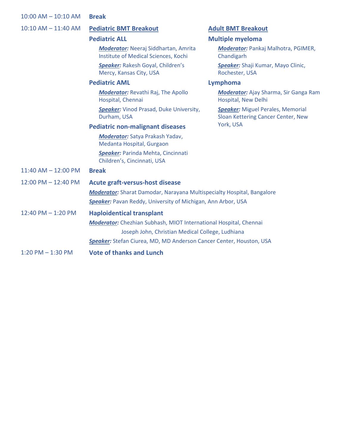| $10:00$ AM $- 10:10$ AM | <b>Break</b>                                                                        |                                                                                |  |
|-------------------------|-------------------------------------------------------------------------------------|--------------------------------------------------------------------------------|--|
| $10:10$ AM $- 11:40$ AM | <b>Pediatric BMT Breakout</b>                                                       | <b>Adult BMT Breakout</b>                                                      |  |
|                         | <b>Pediatric ALL</b>                                                                | <b>Multiple myeloma</b>                                                        |  |
|                         | <b>Moderator:</b> Neeraj Siddhartan, Amrita<br>Institute of Medical Sciences, Kochi | Moderator: Pankaj Malhotra, PGIMER,<br>Chandigarh                              |  |
|                         | <b>Speaker: Rakesh Goyal, Children's</b><br>Mercy, Kansas City, USA                 | Speaker: Shaji Kumar, Mayo Clinic,<br>Rochester, USA                           |  |
|                         | <b>Pediatric AML</b>                                                                | Lymphoma                                                                       |  |
|                         | <b>Moderator:</b> Revathi Raj, The Apollo<br>Hospital, Chennai                      | <b>Moderator:</b> Ajay Sharma, Sir Ganga Ram<br>Hospital, New Delhi            |  |
|                         | <b>Speaker:</b> Vinod Prasad, Duke University,<br>Durham, USA                       | <b>Speaker:</b> Miguel Perales, Memorial<br>Sloan Kettering Cancer Center, New |  |
|                         | York, USA<br><b>Pediatric non-malignant diseases</b>                                |                                                                                |  |
|                         | Moderator: Satya Prakash Yadav,<br>Medanta Hospital, Gurgaon                        |                                                                                |  |
|                         | <b>Speaker: Parinda Mehta, Cincinnati</b><br>Children's, Cincinnati, USA            |                                                                                |  |
| $11:40$ AM $- 12:00$ PM | <b>Break</b>                                                                        |                                                                                |  |
| 12:00 PM - 12:40 PM     | <b>Acute graft-versus-host disease</b>                                              |                                                                                |  |
|                         | <b>Moderator:</b> Sharat Damodar, Narayana Multispecialty Hospital, Bangalore       |                                                                                |  |
|                         | <b>Speaker:</b> Pavan Reddy, University of Michigan, Ann Arbor, USA                 |                                                                                |  |
| 12:40 PM - 1:20 PM      | <b>Haploidentical transplant</b>                                                    |                                                                                |  |
|                         | <b>Moderator:</b> Chezhian Subhash, MIOT International Hospital, Chennai            |                                                                                |  |
|                         | Joseph John, Christian Medical College, Ludhiana                                    |                                                                                |  |
|                         | Speaker: Stefan Ciurea, MD, MD Anderson Cancer Center, Houston, USA                 |                                                                                |  |
| $1:20$ PM $-1:30$ PM    | <b>Vote of thanks and Lunch</b>                                                     |                                                                                |  |